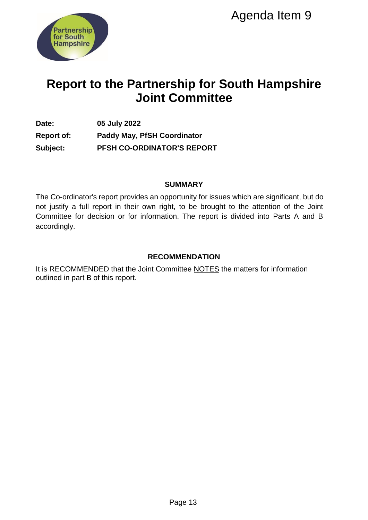

# **Report to the Partnership for South Hampshire Joint Committee**

**Date: 05 July 2022 Report of: Paddy May, PfSH Coordinator Subject: PFSH CO-ORDINATOR'S REPORT** 

#### **SUMMARY**

The Co-ordinator's report provides an opportunity for issues which are significant, but do not justify a full report in their own right, to be brought to the attention of the Joint Committee for decision or for information. The report is divided into Parts A and B accordingly. Agenda Item 9<br>
Ship for South Hampshi<br>
Committee<br>
ordinator<br>
DIMMARY<br>
NOTO ISSUES Which are significant, but<br>
t, t, to be brought to the attention of the J<br>
Int, t, to be propert is divided into Parts A an<br>
MMENDATION<br>
MME

## **RECOMMENDATION**

It is RECOMMENDED that the Joint Committee NOTES the matters for information outlined in part B of this report.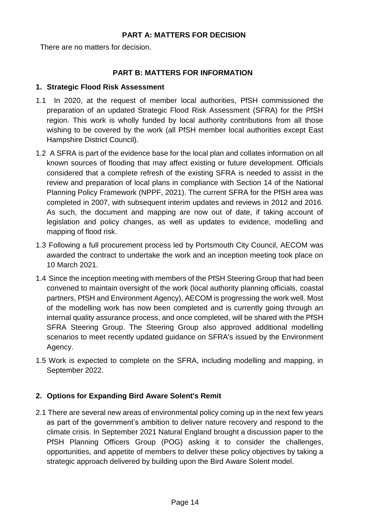#### **PART A: MATTERS FOR DECISION**

There are no matters for decision.

## **PART B: MATTERS FOR INFORMATION**

#### **1. Strategic Flood Risk Assessment**

- 1.1 In 2020, at the request of member local authorities, PfSH commissioned the preparation of an updated Strategic Flood Risk Assessment (SFRA) for the PfSH region. This work is wholly funded by local authority contributions from all those wishing to be covered by the work (all PfSH member local authorities except East Hampshire District Council).
- 1.2 A SFRA is part of the evidence base for the local plan and collates information on all known sources of flooding that may affect existing or future development. Officials considered that a complete refresh of the existing SFRA is needed to assist in the review and preparation of local plans in compliance with Section 14 of the National Planning Policy Framework (NPPF, 2021). The current SFRA for the PfSH area was completed in 2007, with subsequent interim updates and reviews in 2012 and 2016. As such, the document and mapping are now out of date, if taking account of legislation and policy changes, as well as updates to evidence, modelling and mapping of flood risk.
- 1.3 Following a full procurement process led by Portsmouth City Council, AECOM was awarded the contract to undertake the work and an inception meeting took place on 10 March 2021.
- 1.4 Since the inception meeting with members of the PfSH Steering Group that had been convened to maintain oversight of the work (local authority planning officials, coastal partners, PfSH and Environment Agency), AECOM is progressing the work well. Most of the modelling work has now been completed and is currently going through an internal quality assurance process, and once completed, will be shared with the PfSH SFRA Steering Group. The Steering Group also approved additional modelling scenarios to meet recently updated guidance on SFRA's issued by the Environment Agency.
- 1.5 Work is expected to complete on the SFRA, including modelling and mapping, in September 2022.

## **2. Options for Expanding Bird Aware Solent's Remit**

2.1 There are several new areas of environmental policy coming up in the next few years as part of the government's ambition to deliver nature recovery and respond to the climate crisis. In September 2021 Natural England brought a discussion paper to the PfSH Planning Officers Group (POG) asking it to consider the challenges, opportunities, and appetite of members to deliver these policy objectives by taking a strategic approach delivered by building upon the Bird Aware Solent model.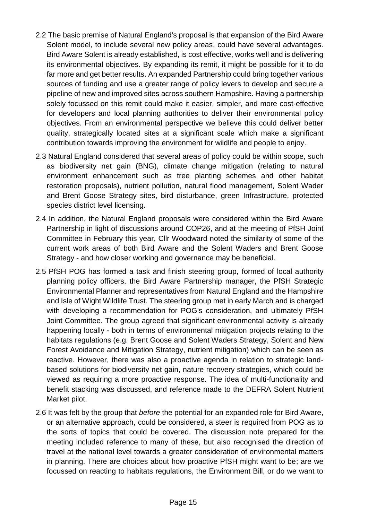- 2.2 The basic premise of Natural England's proposal is that expansion of the Bird Aware Solent model, to include several new policy areas, could have several advantages. Bird Aware Solent is already established, is cost effective, works well and is delivering its environmental objectives. By expanding its remit, it might be possible for it to do far more and get better results. An expanded Partnership could bring together various sources of funding and use a greater range of policy levers to develop and secure a pipeline of new and improved sites across southern Hampshire. Having a partnership solely focussed on this remit could make it easier, simpler, and more cost-effective for developers and local planning authorities to deliver their environmental policy objectives. From an environmental perspective we believe this could deliver better quality, strategically located sites at a significant scale which make a significant contribution towards improving the environment for wildlife and people to enjoy.
- 2.3 Natural England considered that several areas of policy could be within scope, such as biodiversity net gain (BNG), climate change mitigation (relating to natural environment enhancement such as tree planting schemes and other habitat restoration proposals), nutrient pollution, natural flood management, Solent Wader and Brent Goose Strategy sites, bird disturbance, green Infrastructure, protected species district level licensing.
- 2.4 In addition, the Natural England proposals were considered within the Bird Aware Partnership in light of discussions around COP26, and at the meeting of PfSH Joint Committee in February this year, Cllr Woodward noted the similarity of some of the current work areas of both Bird Aware and the Solent Waders and Brent Goose Strategy - and how closer working and governance may be beneficial.
- 2.5 PfSH POG has formed a task and finish steering group, formed of local authority planning policy officers, the Bird Aware Partnership manager, the PfSH Strategic Environmental Planner and representatives from Natural England and the Hampshire and Isle of Wight Wildlife Trust. The steering group met in early March and is charged with developing a recommendation for POG's consideration, and ultimately PfSH Joint Committee. The group agreed that significant environmental activity is already happening locally - both in terms of environmental mitigation projects relating to the habitats regulations (e.g. Brent Goose and Solent Waders Strategy, Solent and New Forest Avoidance and Mitigation Strategy, nutrient mitigation) which can be seen as reactive. However, there was also a proactive agenda in relation to strategic landbased solutions for biodiversity net gain, nature recovery strategies, which could be viewed as requiring a more proactive response. The idea of multi-functionality and benefit stacking was discussed, and reference made to the DEFRA Solent Nutrient Market pilot.
- 2.6 It was felt by the group that *before* the potential for an expanded role for Bird Aware, or an alternative approach, could be considered, a steer is required from POG as to the sorts of topics that could be covered. The discussion note prepared for the meeting included reference to many of these, but also recognised the direction of travel at the national level towards a greater consideration of environmental matters in planning. There are choices about how proactive PfSH might want to be; are we focussed on reacting to habitats regulations, the Environment Bill, or do we want to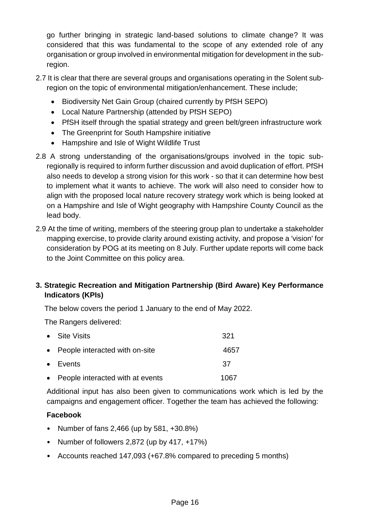go further bringing in strategic land-based solutions to climate change? It was considered that this was fundamental to the scope of any extended role of any organisation or group involved in environmental mitigation for development in the subregion.

- 2.7 It is clear that there are several groups and organisations operating in the Solent subregion on the topic of environmental mitigation/enhancement. These include;
	- Biodiversity Net Gain Group (chaired currently by PfSH SEPO)
	- Local Nature Partnership (attended by PfSH SEPO)
	- PfSH itself through the spatial strategy and green belt/green infrastructure work
	- The Greenprint for South Hampshire initiative
	- Hampshire and Isle of Wight Wildlife Trust
- 2.8 A strong understanding of the organisations/groups involved in the topic subregionally is required to inform further discussion and avoid duplication of effort. PfSH also needs to develop a strong vision for this work - so that it can determine how best to implement what it wants to achieve. The work will also need to consider how to align with the proposed local nature recovery strategy work which is being looked at on a Hampshire and Isle of Wight geography with Hampshire County Council as the lead body.
- 2.9 At the time of writing, members of the steering group plan to undertake a stakeholder mapping exercise, to provide clarity around existing activity, and propose a 'vision' for consideration by POG at its meeting on 8 July. Further update reports will come back to the Joint Committee on this policy area.

# **3. Strategic Recreation and Mitigation Partnership (Bird Aware) Key Performance Indicators (KPIs)**

The below covers the period 1 January to the end of May 2022.

The Rangers delivered:

| • Site Visits                      | 321  |
|------------------------------------|------|
| • People interacted with on-site   | 4657 |
| $\bullet$ Events                   | 37   |
| • People interacted with at events | 1067 |

Additional input has also been given to communications work which is led by the campaigns and engagement officer. Together the team has achieved the following:

# **Facebook**

- Number of fans 2,466 (up by 581, +30.8%)
- Number of followers 2,872 (up by 417, +17%)
- Accounts reached 147,093 (+67.8% compared to preceding 5 months)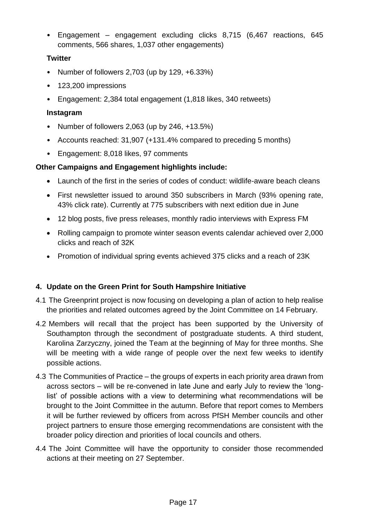• Engagement – engagement excluding clicks 8,715 (6,467 reactions, 645 comments, 566 shares, 1,037 other engagements)

## **Twitter**

- Number of followers 2,703 (up by 129, +6.33%)
- 123,200 impressions
- Engagement: 2,384 total engagement (1,818 likes, 340 retweets)

## **Instagram**

- Number of followers 2,063 (up by 246, +13.5%)
- Accounts reached: 31,907 (+131.4% compared to preceding 5 months)
- Engagement: 8,018 likes, 97 comments

## **Other Campaigns and Engagement highlights include:**

- Launch of the first in the series of codes of conduct: wildlife-aware beach cleans
- First newsletter issued to around 350 subscribers in March (93% opening rate, 43% click rate). Currently at 775 subscribers with next edition due in June
- 12 blog posts, five press releases, monthly radio interviews with Express FM
- Rolling campaign to promote winter season events calendar achieved over 2,000 clicks and reach of 32K
- Promotion of individual spring events achieved 375 clicks and a reach of 23K

# **4. Update on the Green Print for South Hampshire Initiative**

- 4.1 The Greenprint project is now focusing on developing a plan of action to help realise the priorities and related outcomes agreed by the Joint Committee on 14 February.
- 4.2 Members will recall that the project has been supported by the University of Southampton through the secondment of postgraduate students. A third student, Karolina Zarzyczny, joined the Team at the beginning of May for three months. She will be meeting with a wide range of people over the next few weeks to identify possible actions.
- 4.3 The Communities of Practice the groups of experts in each priority area drawn from across sectors – will be re-convened in late June and early July to review the 'longlist' of possible actions with a view to determining what recommendations will be brought to the Joint Committee in the autumn. Before that report comes to Members it will be further reviewed by officers from across PfSH Member councils and other project partners to ensure those emerging recommendations are consistent with the broader policy direction and priorities of local councils and others.
- 4.4 The Joint Committee will have the opportunity to consider those recommended actions at their meeting on 27 September.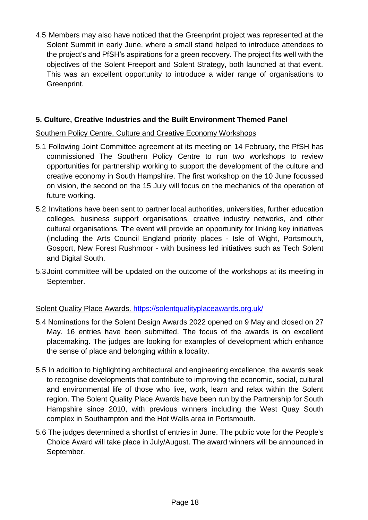4.5 Members may also have noticed that the Greenprint project was represented at the Solent Summit in early June, where a small stand helped to introduce attendees to the project's and PfSH's aspirations for a green recovery. The project fits well with the objectives of the Solent Freeport and Solent Strategy, both launched at that event. This was an excellent opportunity to introduce a wider range of organisations to Greenprint.

## **5. Culture, Creative Industries and the Built Environment Themed Panel**

## Southern Policy Centre, Culture and Creative Economy Workshops

- 5.1 Following Joint Committee agreement at its meeting on 14 February, the PfSH has commissioned The Southern Policy Centre to run two workshops to review opportunities for partnership working to support the development of the culture and creative economy in South Hampshire. The first workshop on the 10 June focussed on vision, the second on the 15 July will focus on the mechanics of the operation of future working.
- 5.2 Invitations have been sent to partner local authorities, universities, further education colleges, business support organisations, creative industry networks, and other cultural organisations. The event will provide an opportunity for linking key initiatives (including the Arts Council England priority places - Isle of Wight, Portsmouth, Gosport, New Forest Rushmoor - with business led initiatives such as Tech Solent and Digital South.
- 5.3Joint committee will be updated on the outcome of the workshops at its meeting in September.

## Solent Quality Place Awards.<https://solentqualityplaceawards.org.uk/>

- 5.4 Nominations for the Solent Design Awards 2022 opened on 9 May and closed on 27 May. 16 entries have been submitted. The focus of the awards is on excellent placemaking. The judges are looking for examples of development which enhance the sense of place and belonging within a locality.
- 5.5 In addition to highlighting architectural and engineering excellence, the awards seek to recognise developments that contribute to improving the economic, social, cultural and environmental life of those who live, work, learn and relax within the Solent region. The Solent Quality Place Awards have been run by the Partnership for South Hampshire since 2010, with previous winners including the West Quay South complex in Southampton and the Hot Walls area in Portsmouth.
- 5.6 The judges determined a shortlist of entries in June. The public vote for the People's Choice Award will take place in July/August. The award winners will be announced in September.